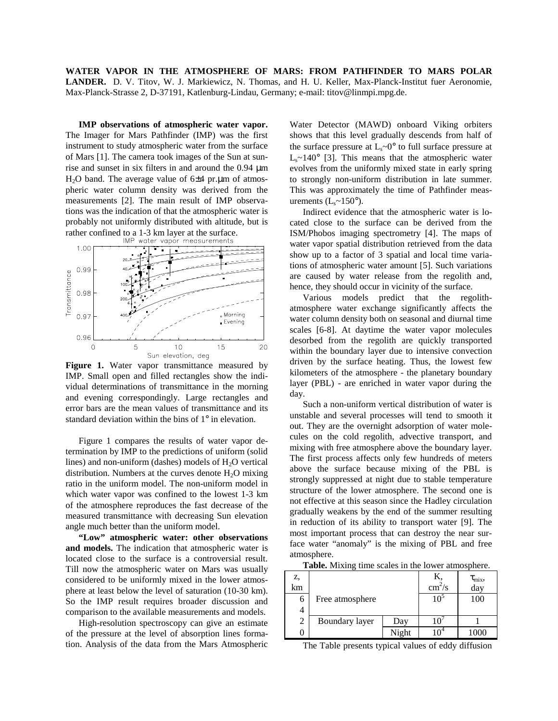**WATER VAPOR IN THE ATMOSPHERE OF MARS: FROM PATHFINDER TO MARS POLAR LANDER.** D. V. Titov, W. J. Markiewicz, N. Thomas, and H. U. Keller, Max-Planck-Institut fuer Aeronomie, Max-Planck-Strasse 2, D-37191, Katlenburg-Lindau, Germany; e-mail: titov@linmpi.mpg.de.

**IMP observations of atmospheric water vapor.** The Imager for Mars Pathfinder (IMP) was the first instrument to study atmospheric water from the surface of Mars [1]. The camera took images of the Sun at sunrise and sunset in six filters in and around the 0.94 µm H<sub>2</sub>O band. The average value of  $6±4$  pr.µm of atmospheric water column density was derived from the measurements [2]. The main result of IMP observations was the indication of that the atmospheric water is probably not uniformly distributed with altitude, but is rather confined to a 1-3 km layer at the surface.<br>IMP water vapor measurements



Figure 1. Water vapor transmittance measured by IMP. Small open and filled rectangles show the individual determinations of transmittance in the morning and evening correspondingly. Large rectangles and error bars are the mean values of transmittance and its standard deviation within the bins of 1° in elevation.

Figure 1 compares the results of water vapor determination by IMP to the predictions of uniform (solid lines) and non-uniform (dashes) models of  $H_2O$  vertical distribution. Numbers at the curves denote  $H_2O$  mixing ratio in the uniform model. The non-uniform model in which water vapor was confined to the lowest 1-3 km of the atmosphere reproduces the fast decrease of the measured transmittance with decreasing Sun elevation angle much better than the uniform model.

**"Low" atmospheric water: other observations and models.** The indication that atmospheric water is located close to the surface is a controversial result. Till now the atmospheric water on Mars was usually considered to be uniformly mixed in the lower atmosphere at least below the level of saturation (10-30 km). So the IMP result requires broader discussion and comparison to the available measurements and models.

High-resolution spectroscopy can give an estimate of the pressure at the level of absorption lines formation. Analysis of the data from the Mars Atmospheric

Water Detector (MAWD) onboard Viking orbiters shows that this level gradually descends from half of the surface pressure at  $L_s \sim 0^\circ$  to full surface pressure at  $L<sub>s</sub>$ ~140° [3]. This means that the atmospheric water evolves from the uniformly mixed state in early spring to strongly non-uniform distribution in late summer. This was approximately the time of Pathfinder measurements  $(L<sub>s</sub>~150<sup>o</sup>)$ .

Indirect evidence that the atmospheric water is located close to the surface can be derived from the ISM/Phobos imaging spectrometry [4]. The maps of water vapor spatial distribution retrieved from the data show up to a factor of 3 spatial and local time variations of atmospheric water amount [5]. Such variations are caused by water release from the regolith and, hence, they should occur in vicinity of the surface.

Various models predict that the regolithatmosphere water exchange significantly affects the water column density both on seasonal and diurnal time scales [6-8]. At daytime the water vapor molecules desorbed from the regolith are quickly transported within the boundary layer due to intensive convection driven by the surface heating. Thus, the lowest few kilometers of the atmosphere - the planetary boundary layer (PBL) - are enriched in water vapor during the day.

Such a non-uniform vertical distribution of water is unstable and several processes will tend to smooth it out. They are the overnight adsorption of water molecules on the cold regolith, advective transport, and mixing with free atmosphere above the boundary layer. The first process affects only few hundreds of meters above the surface because mixing of the PBL is strongly suppressed at night due to stable temperature structure of the lower atmosphere. The second one is not effective at this season since the Hadley circulation gradually weakens by the end of the summer resulting in reduction of its ability to transport water [9]. The most important process that can destroy the near surface water "anomaly" is the mixing of PBL and free atmosphere.

**Table.** Mixing time scales in the lower atmosphere.

| z,<br>km |                 |       | $\text{cm}^2/\text{s}$ | $\tau_{\rm mix}$<br>day |
|----------|-----------------|-------|------------------------|-------------------------|
| 6        | Free atmosphere |       | 10 <sup>5</sup>        | 100                     |
| 4<br>2   | Boundary layer  | Day   |                        |                         |
|          |                 | Night |                        | 1000                    |

The Table presents typical values of eddy diffusion